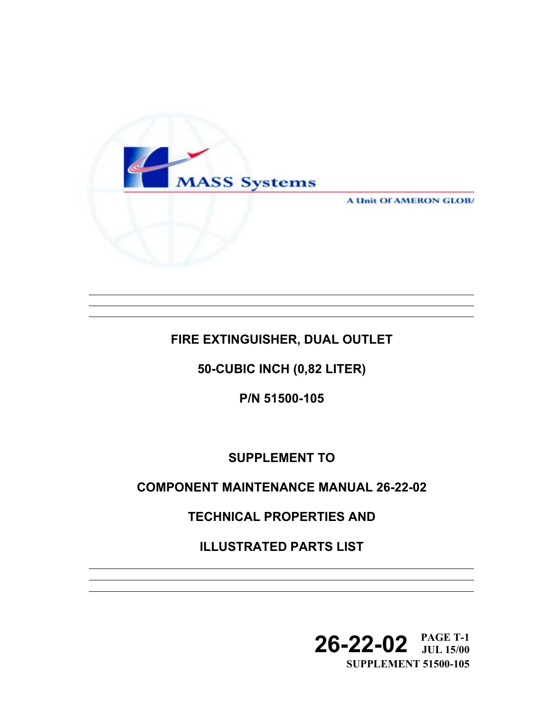

**A Unit OF AMERON GLOBA** 

## **FIRE EXTINGUISHER, DUAL OUTLET**

**50-CUBIC INCH (0,82 LITER)** 

**P/N 51500-105** 

**SUPPLEMENT TO** 

## **COMPONENT MAINTENANCE MANUAL 26-22-02**

**TECHNICAL PROPERTIES AND** 

**ILLUSTRATED PARTS LIST** 

**26-22-02 PAGE T-1 JUL 15/00 SUPPLEMENT 51500-105**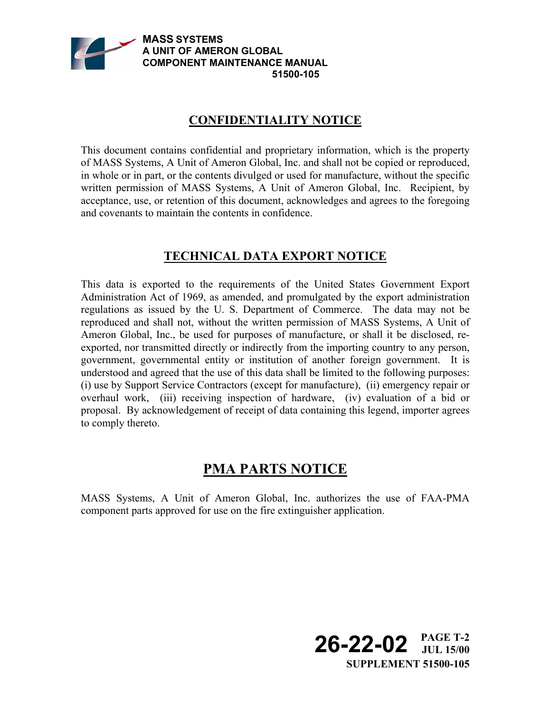

## **CONFIDENTIALITY NOTICE**

This document contains confidential and proprietary information, which is the property of MASS Systems, A Unit of Ameron Global, Inc. and shall not be copied or reproduced, in whole or in part, or the contents divulged or used for manufacture, without the specific written permission of MASS Systems, A Unit of Ameron Global, Inc. Recipient, by acceptance, use, or retention of this document, acknowledges and agrees to the foregoing and covenants to maintain the contents in confidence.

## **TECHNICAL DATA EXPORT NOTICE**

This data is exported to the requirements of the United States Government Export Administration Act of 1969, as amended, and promulgated by the export administration regulations as issued by the U. S. Department of Commerce. The data may not be reproduced and shall not, without the written permission of MASS Systems, A Unit of Ameron Global, Inc., be used for purposes of manufacture, or shall it be disclosed, reexported, nor transmitted directly or indirectly from the importing country to any person, government, governmental entity or institution of another foreign government. It is understood and agreed that the use of this data shall be limited to the following purposes: (i) use by Support Service Contractors (except for manufacture), (ii) emergency repair or overhaul work, (iii) receiving inspection of hardware, (iv) evaluation of a bid or proposal. By acknowledgement of receipt of data containing this legend, importer agrees to comply thereto.

# **PMA PARTS NOTICE**

MASS Systems, A Unit of Ameron Global, Inc. authorizes the use of FAA-PMA component parts approved for use on the fire extinguisher application.

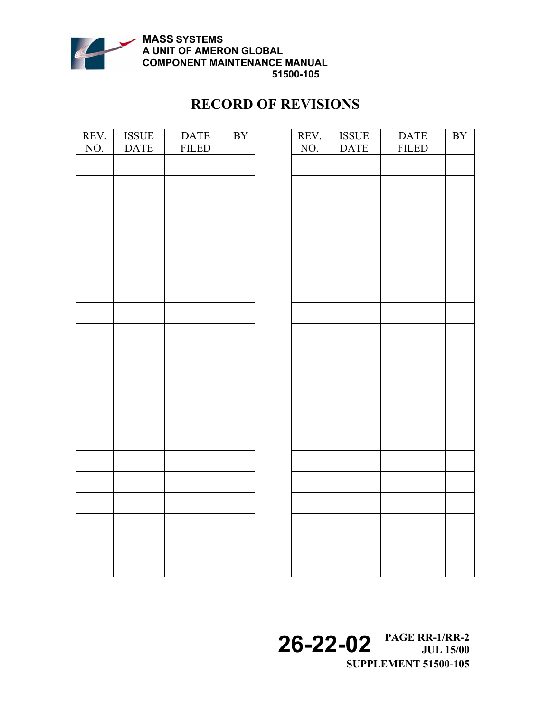

**51500-105**

## **RECORD OF REVISIONS**

| REV. | <b>ISSUE</b> | <b>DATE</b>  | $\overline{BY}$ |
|------|--------------|--------------|-----------------|
| NO.  | <b>DATE</b>  | <b>FILED</b> |                 |
|      |              |              |                 |
|      |              |              |                 |
|      |              |              |                 |
|      |              |              |                 |
|      |              |              |                 |
|      |              |              |                 |
|      |              |              |                 |
|      |              |              |                 |
|      |              |              |                 |
|      |              |              |                 |
|      |              |              |                 |
|      |              |              |                 |
|      |              |              |                 |
|      |              |              |                 |
|      |              |              |                 |
|      |              |              |                 |
|      |              |              |                 |
|      |              |              |                 |
|      |              |              |                 |
|      |              |              |                 |
|      |              |              |                 |
|      |              |              |                 |
|      |              |              |                 |
|      |              |              |                 |
|      |              |              |                 |
|      |              |              |                 |
|      |              |              |                 |
|      |              |              |                 |
|      |              |              |                 |
|      |              |              |                 |
|      |              |              |                 |
|      |              |              |                 |

| $\overline{\text{BY}}$ | REV. | <b>ISSUE</b> | <b>DATE</b>  | $\ensuremath{\mathrm{BY}}$ |
|------------------------|------|--------------|--------------|----------------------------|
|                        | NO.  | <b>DATE</b>  | <b>FILED</b> |                            |
|                        |      |              |              |                            |
|                        |      |              |              |                            |
|                        |      |              |              |                            |
|                        |      |              |              |                            |
|                        |      |              |              |                            |
|                        |      |              |              |                            |
|                        |      |              |              |                            |
|                        |      |              |              |                            |
|                        |      |              |              |                            |
|                        |      |              |              |                            |
|                        |      |              |              |                            |
|                        |      |              |              |                            |
|                        |      |              |              |                            |
|                        |      |              |              |                            |
|                        |      |              |              |                            |
|                        |      |              |              |                            |
|                        |      |              |              |                            |
|                        |      |              |              |                            |
|                        |      |              |              |                            |
|                        |      |              |              |                            |
|                        |      |              |              |                            |
|                        |      |              |              |                            |
|                        |      |              |              |                            |
|                        |      |              |              |                            |
|                        |      |              |              |                            |
|                        |      |              |              |                            |
|                        |      |              |              |                            |
|                        |      |              |              |                            |
|                        |      |              |              |                            |

**26-22-02 PAGE RR-1/RR-2 JUL 15/00 SUPPLEMENT 51500-105**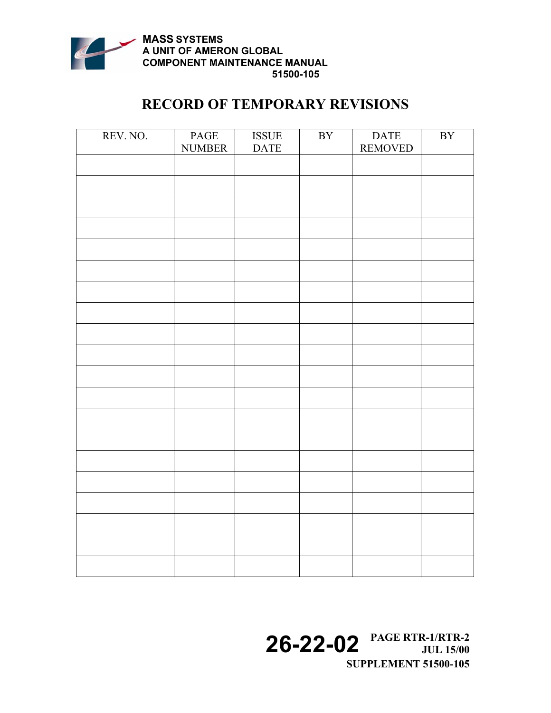

## **RECORD OF TEMPORARY REVISIONS**

| PAGE | $\operatorname{ISSUE}$ | $\rm BY$    | <b>DATE</b> | $\mathbf{B}\mathbf{Y}$ |
|------|------------------------|-------------|-------------|------------------------|
|      |                        |             |             |                        |
|      |                        |             |             |                        |
|      |                        |             |             |                        |
|      |                        |             |             |                        |
|      |                        |             |             |                        |
|      |                        |             |             |                        |
|      |                        |             |             |                        |
|      |                        |             |             |                        |
|      |                        |             |             |                        |
|      |                        |             |             |                        |
|      |                        |             |             |                        |
|      |                        |             |             |                        |
|      |                        |             |             |                        |
|      |                        |             |             |                        |
|      |                        |             |             |                        |
|      |                        |             |             |                        |
|      |                        |             |             |                        |
|      |                        |             |             |                        |
|      |                        |             |             |                        |
|      |                        |             |             |                        |
|      |                        |             |             |                        |
|      |                        |             |             |                        |
|      |                        |             |             |                        |
|      |                        |             |             |                        |
|      |                        |             |             |                        |
|      |                        |             |             |                        |
|      |                        |             |             |                        |
|      |                        |             |             |                        |
|      |                        |             |             |                        |
|      |                        |             |             |                        |
|      |                        |             |             |                        |
|      |                        |             |             |                        |
|      |                        |             |             |                        |
|      | <b>NUMBER</b>          | <b>DATE</b> |             | <b>REMOVED</b>         |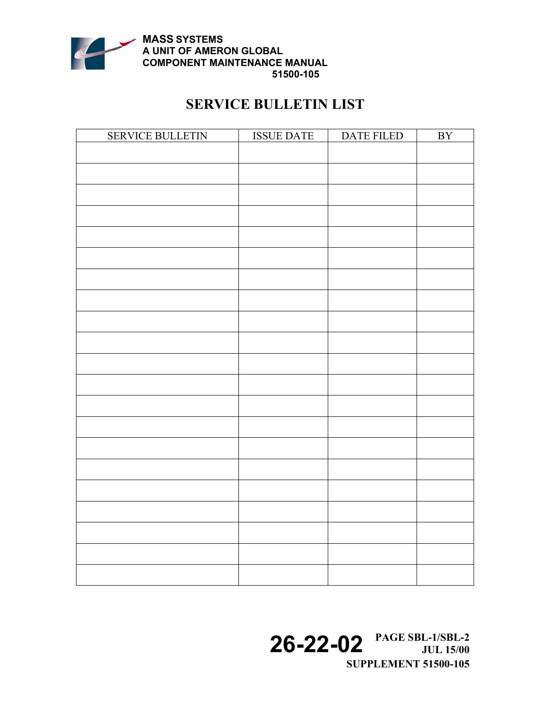

# **SERVICE BULLETIN LIST**

| SERVICE BULLETIN | <b>ISSUE DATE</b> | DATE FILED | $\overline{\rm BY}$ |
|------------------|-------------------|------------|---------------------|
|                  |                   |            |                     |
|                  |                   |            |                     |
|                  |                   |            |                     |
|                  |                   |            |                     |
|                  |                   |            |                     |
|                  |                   |            |                     |
|                  |                   |            |                     |
|                  |                   |            |                     |
|                  |                   |            |                     |
|                  |                   |            |                     |
|                  |                   |            |                     |
|                  |                   |            |                     |
|                  |                   |            |                     |
|                  |                   |            |                     |
|                  |                   |            |                     |
|                  |                   |            |                     |
|                  |                   |            |                     |
|                  |                   |            |                     |
|                  |                   |            |                     |
|                  |                   |            |                     |
|                  |                   |            |                     |
|                  |                   |            |                     |
|                  |                   |            |                     |
|                  |                   |            |                     |

**26-22-02 PAGE SBL-1/SBL-2 JUL 15/00 SUPPLEMENT 51500-105**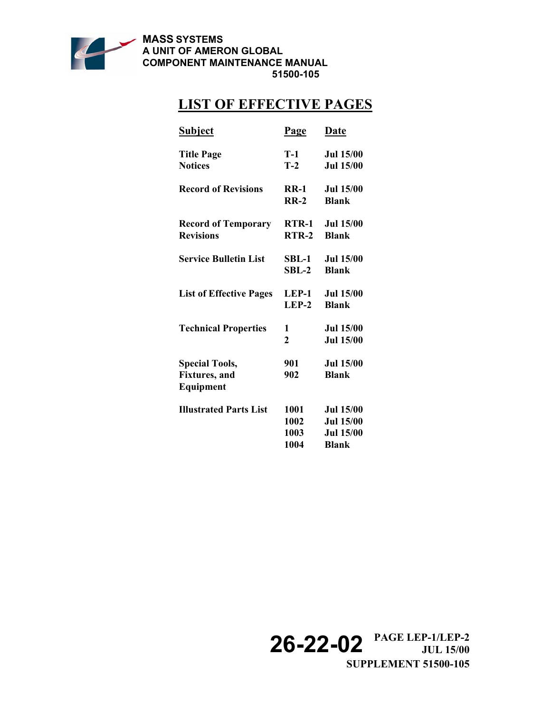

#### **51500-105**

# **LIST OF EFFECTIVE PAGES**

| <b>Subject</b>                                              | <b>Page</b>                  | Date                                                                     |
|-------------------------------------------------------------|------------------------------|--------------------------------------------------------------------------|
| <b>Title Page</b><br><b>Notices</b>                         | T-1<br>$T-2$                 | <b>Jul 15/00</b><br><b>Jul 15/00</b>                                     |
| <b>Record of Revisions</b>                                  | $RR-1$<br>$RR-2$             | <b>Jul 15/00</b><br><b>Blank</b>                                         |
| <b>Record of Temporary</b><br><b>Revisions</b>              | RTR-1<br>$RTR-2$             | <b>Jul 15/00</b><br><b>Blank</b>                                         |
| <b>Service Bulletin List</b>                                | SBL-1<br>$SBL-2$             | <b>Jul 15/00</b><br><b>Blank</b>                                         |
| <b>List of Effective Pages</b>                              | LEP-1<br>$LEP-2$             | <b>Jul 15/00</b><br><b>Blank</b>                                         |
| <b>Technical Properties</b>                                 | 1<br>$\overline{2}$          | <b>Jul 15/00</b><br><b>Jul 15/00</b>                                     |
| <b>Special Tools,</b><br><b>Fixtures</b> , and<br>Equipment | 901<br>902                   | <b>Jul 15/00</b><br><b>Blank</b>                                         |
| <b>Illustrated Parts List</b>                               | 1001<br>1002<br>1003<br>1004 | <b>Jul 15/00</b><br><b>Jul 15/00</b><br><b>Jul 15/00</b><br><b>Blank</b> |

**26-22-02 PAGE LEP-1/LEP-2 JUL 15/00 SUPPLEMENT 51500-105**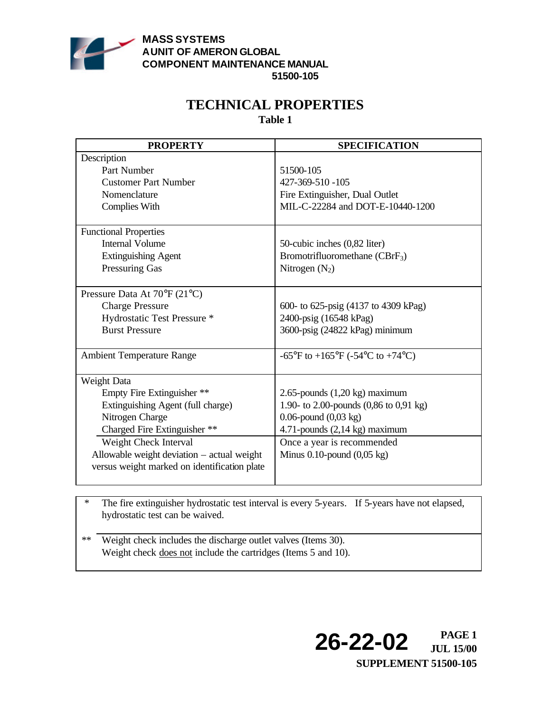

# **TECHNICAL PROPERTIES**

**Table 1**

| <b>PROPERTY</b>                              | <b>SPECIFICATION</b>                                                      |
|----------------------------------------------|---------------------------------------------------------------------------|
| Description                                  |                                                                           |
| Part Number                                  | 51500-105                                                                 |
| <b>Customer Part Number</b>                  | 427-369-510 -105                                                          |
| Nomenclature                                 | Fire Extinguisher, Dual Outlet                                            |
| <b>Complies With</b>                         | MIL-C-22284 and DOT-E-10440-1200                                          |
| <b>Functional Properties</b>                 |                                                                           |
| <b>Internal Volume</b>                       | 50-cubic inches (0,82 liter)                                              |
| <b>Extinguishing Agent</b>                   | Bromotrifluoromethane (CBrF <sub>3</sub> )                                |
| <b>Pressuring Gas</b>                        | Nitrogen $(N_2)$                                                          |
|                                              |                                                                           |
| Pressure Data At 70°F (21°C)                 |                                                                           |
| <b>Charge Pressure</b>                       | 600- to 625-psig (4137 to 4309 kPag)                                      |
| Hydrostatic Test Pressure *                  | 2400-psig (16548 kPag)                                                    |
| <b>Burst Pressure</b>                        | 3600-psig (24822 kPag) minimum                                            |
| <b>Ambient Temperature Range</b>             | $-65^{\circ}$ F to $+165^{\circ}$ F ( $-54^{\circ}$ C to $+74^{\circ}$ C) |
|                                              |                                                                           |
| Weight Data                                  |                                                                           |
| Empty Fire Extinguisher **                   | 2.65-pounds $(1,20 \text{ kg})$ maximum                                   |
| Extinguishing Agent (full charge)            | 1.90- to 2.00-pounds (0,86 to 0,91 kg)                                    |
| Nitrogen Charge                              | $0.06$ -pound $(0,03 \text{ kg})$                                         |
| Charged Fire Extinguisher **                 | 4.71-pounds $(2,14 \text{ kg})$ maximum                                   |
| Weight Check Interval                        | Once a year is recommended                                                |
| Allowable weight deviation - actual weight   | Minus $0.10$ -pound $(0.05 \text{ kg})$                                   |
| versus weight marked on identification plate |                                                                           |
|                                              |                                                                           |

\* The fire extinguisher hydrostatic test interval is every 5-years. If 5-years have not elapsed, hydrostatic test can be waived.

\*\* Weight check includes the discharge outlet valves (Items 30). Weight check does not include the cartridges (Items 5 and 10).

> **26-22-02 PAGE 1 JUL 15/00 SUPPLEMENT 51500-105**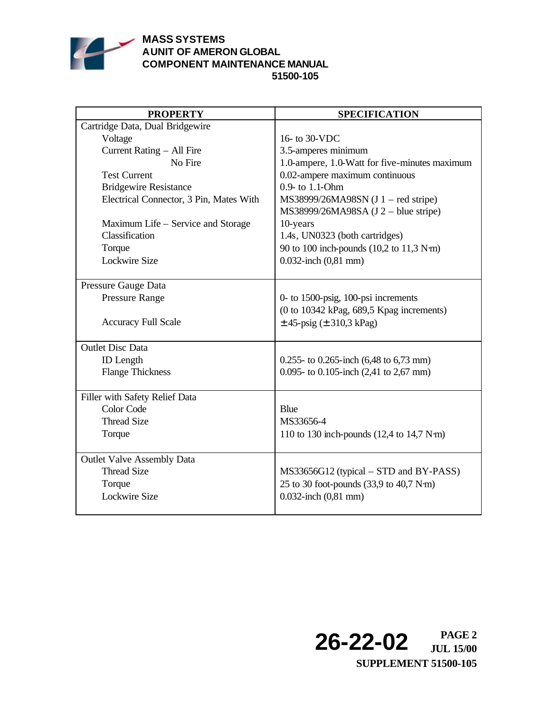

### **MASS SYSTEMS AUNIT OF AMERON GLOBAL COMPONENT MAINTENANCE MANUAL 51500-105**

| <b>PROPERTY</b>                         | <b>SPECIFICATION</b>                                                        |
|-----------------------------------------|-----------------------------------------------------------------------------|
| Cartridge Data, Dual Bridgewire         |                                                                             |
| Voltage                                 | 16- to 30-VDC                                                               |
| Current Rating - All Fire               | 3.5-amperes minimum                                                         |
| No Fire                                 | 1.0-ampere, 1.0-Watt for five-minutes maximum                               |
| <b>Test Current</b>                     | 0.02-ampere maximum continuous                                              |
| <b>Bridgewire Resistance</b>            | 0.9- to 1.1-Ohm                                                             |
| Electrical Connector, 3 Pin, Mates With | MS38999/26MA98SN (J 1 – red stripe)<br>MS38999/26MA98SA (J 2 - blue stripe) |
| Maximum Life – Service and Storage      | 10-years                                                                    |
| Classification                          | 1.4s, UN0323 (both cartridges)                                              |
| Torque                                  | 90 to 100 inch-pounds (10,2 to 11,3 N·m)                                    |
| <b>Lockwire Size</b>                    | 0.032-inch $(0,81$ mm)                                                      |
|                                         |                                                                             |
| Pressure Gauge Data                     |                                                                             |
| <b>Pressure Range</b>                   | 0- to 1500-psig, 100-psi increments                                         |
|                                         | (0 to 10342 kPag, 689,5 Kpag increments)                                    |
| <b>Accuracy Full Scale</b>              | $\pm$ 45-psig ( $\pm$ 310,3 kPag)                                           |
|                                         |                                                                             |
| <b>Outlet Disc Data</b>                 |                                                                             |
| <b>ID</b> Length                        | $0.255$ - to 0.265-inch (6,48 to 6,73 mm)                                   |
| <b>Flange Thickness</b>                 | 0.095- to 0.105-inch $(2,41)$ to 2,67 mm)                                   |
| Filler with Safety Relief Data          |                                                                             |
| Color Code                              | Blue                                                                        |
| <b>Thread Size</b>                      | MS33656-4                                                                   |
| Torque                                  | 110 to 130 inch-pounds $(12,4 \text{ to } 14,7 \text{ N}\cdot\text{m})$     |
|                                         |                                                                             |
| <b>Outlet Valve Assembly Data</b>       |                                                                             |
| <b>Thread Size</b>                      | MS33656G12 (typical – STD and BY-PASS)                                      |
| Torque                                  | 25 to 30 foot-pounds (33,9 to 40,7 N·m)                                     |
| <b>Lockwire Size</b>                    | 0.032-inch $(0,81$ mm)                                                      |
|                                         |                                                                             |

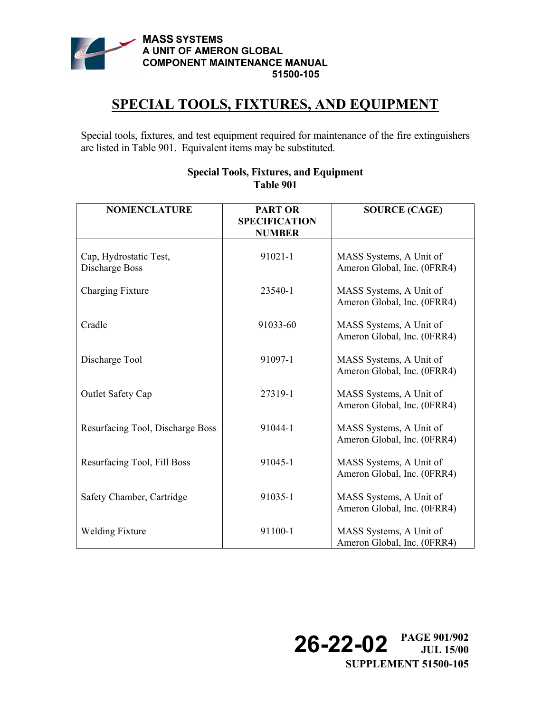

## **SPECIAL TOOLS, FIXTURES, AND EQUIPMENT**

Special tools, fixtures, and test equipment required for maintenance of the fire extinguishers are listed in Table 901. Equivalent items may be substituted.

| <b>NOMENCLATURE</b>                      | <b>PART OR</b>                        | <b>SOURCE (CAGE)</b>                                   |
|------------------------------------------|---------------------------------------|--------------------------------------------------------|
|                                          | <b>SPECIFICATION</b><br><b>NUMBER</b> |                                                        |
| Cap, Hydrostatic Test,<br>Discharge Boss | 91021-1                               | MASS Systems, A Unit of<br>Ameron Global, Inc. (0FRR4) |
| Charging Fixture                         | 23540-1                               | MASS Systems, A Unit of<br>Ameron Global, Inc. (0FRR4) |
| Cradle                                   | 91033-60                              | MASS Systems, A Unit of<br>Ameron Global, Inc. (0FRR4) |
| Discharge Tool                           | 91097-1                               | MASS Systems, A Unit of<br>Ameron Global, Inc. (0FRR4) |
| <b>Outlet Safety Cap</b>                 | 27319-1                               | MASS Systems, A Unit of<br>Ameron Global, Inc. (0FRR4) |
| Resurfacing Tool, Discharge Boss         | 91044-1                               | MASS Systems, A Unit of<br>Ameron Global, Inc. (0FRR4) |
| Resurfacing Tool, Fill Boss              | 91045-1                               | MASS Systems, A Unit of<br>Ameron Global, Inc. (0FRR4) |
| Safety Chamber, Cartridge                | 91035-1                               | MASS Systems, A Unit of<br>Ameron Global, Inc. (0FRR4) |
| <b>Welding Fixture</b>                   | 91100-1                               | MASS Systems, A Unit of<br>Ameron Global, Inc. (0FRR4) |

### **Special Tools, Fixtures, and Equipment Table 901**

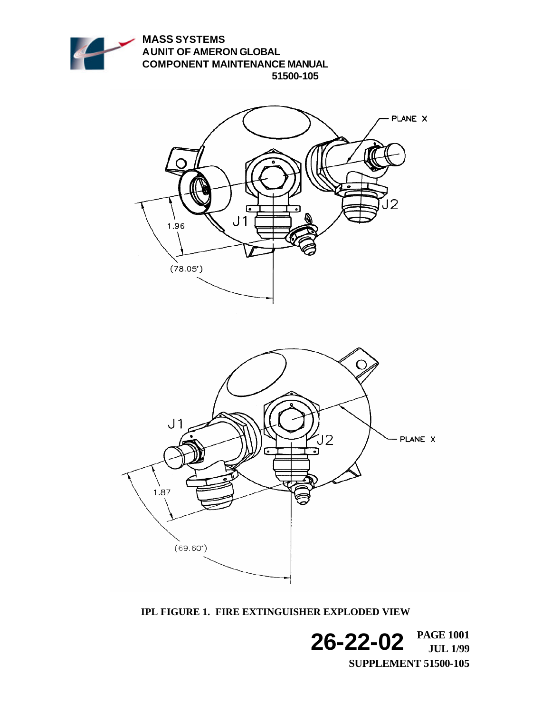

**IPL FIGURE 1. FIRE EXTINGUISHER EXPLODED VIEW**

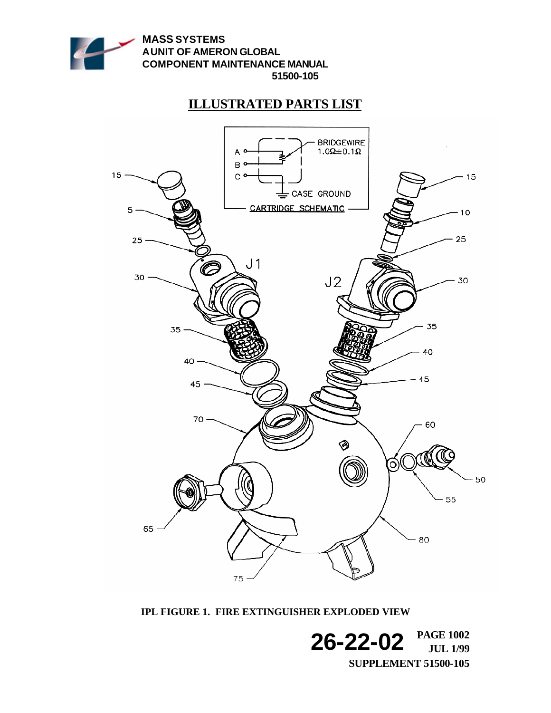

## **ILLUSTRATED PARTS LIST**



**IPL FIGURE 1. FIRE EXTINGUISHER EXPLODED VIEW**

**26-22-02 PAGE 1002 JUL 1/99 SUPPLEMENT 51500-105**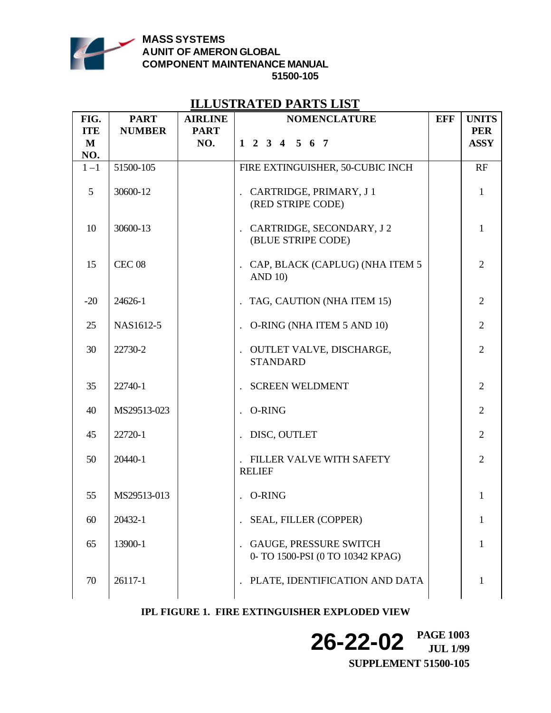

### **MASS SYSTEMS AUNIT OF AMERON GLOBAL COMPONENT MAINTENANCE MANUAL 51500-105**

### **ILLUSTRATED PARTS LIST**

| FIG.        | <b>PART</b>       | <b>AIRLINE</b> | <b>NOMENCLATURE</b>                                                 | <b>EFF</b> | <b>UNITS</b>   |
|-------------|-------------------|----------------|---------------------------------------------------------------------|------------|----------------|
| <b>ITE</b>  | <b>NUMBER</b>     | <b>PART</b>    |                                                                     |            | <b>PER</b>     |
| $\mathbf M$ |                   | NO.            | $1\ 2\ 3\ 4\ 5\ 6\ 7$                                               |            | <b>ASSY</b>    |
| NO.         |                   |                |                                                                     |            |                |
| $1 - 1$     | 51500-105         |                | FIRE EXTINGUISHER, 50-CUBIC INCH                                    |            | RF             |
| 5           | 30600-12          |                | CARTRIDGE, PRIMARY, J 1<br>(RED STRIPE CODE)                        |            | $\mathbf{1}$   |
| 10          | 30600-13          |                | CARTRIDGE, SECONDARY, J2<br>(BLUE STRIPE CODE)                      |            | $\mathbf{1}$   |
| 15          | CEC <sub>08</sub> |                | CAP, BLACK (CAPLUG) (NHA ITEM 5<br><b>AND 10)</b>                   |            | $\overline{2}$ |
| $-20$       | 24626-1           |                | . TAG, CAUTION (NHA ITEM 15)                                        |            | $\overline{2}$ |
| 25          | NAS1612-5         |                | O-RING (NHA ITEM 5 AND 10)                                          |            | $\overline{2}$ |
| 30          | 22730-2           |                | OUTLET VALVE, DISCHARGE,<br>$\ddot{\phantom{a}}$<br><b>STANDARD</b> |            | $\overline{2}$ |
| 35          | 22740-1           |                | <b>SCREEN WELDMENT</b>                                              |            | $\overline{2}$ |
| 40          | MS29513-023       |                | <b>O-RING</b>                                                       |            | $\overline{2}$ |
| 45          | 22720-1           |                | DISC, OUTLET                                                        |            | $\overline{2}$ |
| 50          | 20440-1           |                | FILLER VALVE WITH SAFETY<br><b>RELIEF</b>                           |            | $\overline{2}$ |
| 55          | MS29513-013       |                | O-RING                                                              |            | 1              |
| 60          | 20432-1           |                | SEAL, FILLER (COPPER)                                               |            | 1              |
| 65          | 13900-1           |                | <b>GAUGE, PRESSURE SWITCH</b><br>0- TO 1500-PSI (0 TO 10342 KPAG)   |            | 1              |
| 70          | 26117-1           |                | PLATE, IDENTIFICATION AND DATA                                      |            | 1              |

### **IPL FIGURE 1. FIRE EXTINGUISHER EXPLODED VIEW**

**26-22-02 PAGE 1003 JUL 1/99 SUPPLEMENT 51500-105**